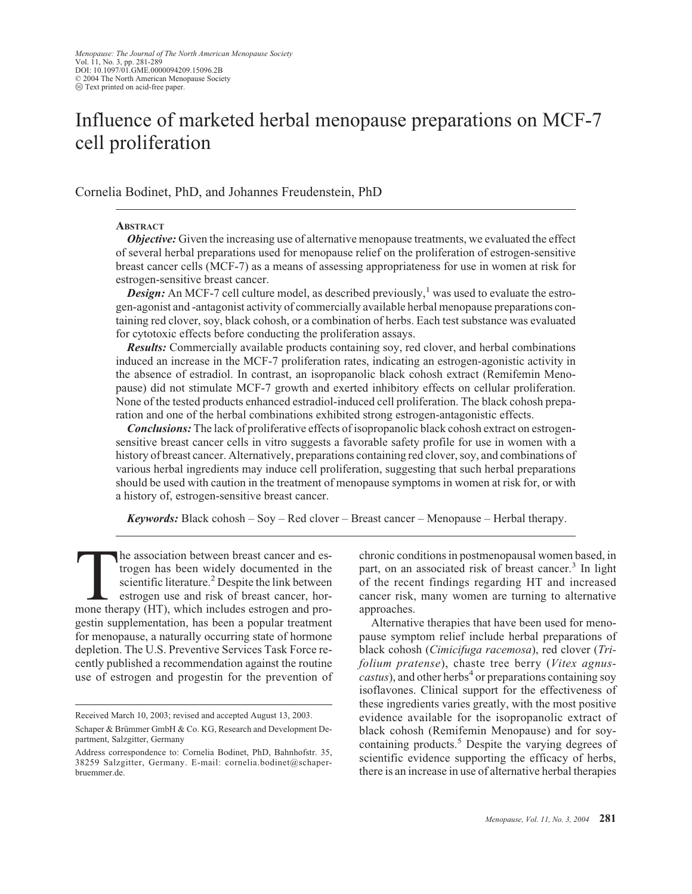# Influence of marketed herbal menopause preparations on MCF-7 cell proliferation

Cornelia Bodinet, PhD, and Johannes Freudenstein, PhD

# **ABSTRACT**

*Objective:* Given the increasing use of alternative menopause treatments, we evaluated the effect of several herbal preparations used for menopause relief on the proliferation of estrogen-sensitive breast cancer cells (MCF-7) as a means of assessing appropriateness for use in women at risk for estrogen-sensitive breast cancer.

**Design:** An MCF-7 cell culture model, as described previously,<sup>1</sup> was used to evaluate the estrogen-agonist and -antagonist activity of commercially available herbal menopause preparations containing red clover, soy, black cohosh, or a combination of herbs. Each testsubstance was evaluated for cytotoxic effects before conducting the proliferation assays.

*Results:* Commercially available products containing soy, red clover, and herbal combinations induced an increase in the MCF-7 proliferation rates, indicating an estrogen-agonistic activity in the absence of estradiol. In contrast, an isopropanolic black cohosh extract (Remifemin Menopause) did not stimulate MCF-7 growth and exerted inhibitory effects on cellular proliferation. None of the tested products enhanced estradiol-induced cell proliferation. The black cohosh preparation and one of the herbal combinations exhibited strong estrogen-antagonistic effects.

*Conclusions:* The lack of proliferative effects of isopropanolic black cohosh extract on estrogensensitive breast cancer cells in vitro suggests a favorable safety profile for use in women with a history of breast cancer. Alternatively, preparations containing red clover, soy, and combinations of various herbal ingredients may induce cell proliferation, suggesting that such herbal preparations should be used with caution in the treatment of menopause symptoms in women at risk for, or with a history of, estrogen-sensitive breast cancer.

*Keywords:* Black cohosh – Soy – Red clover – Breast cancer – Menopause – Herbal therapy.

The association between breast cancer and es-<br>trogen has been widely documented in the<br>scientific literature.<sup>2</sup> Despite the link between<br>estrogen use and risk of breast cancer, hor-<br>mone therapy (HT), which includes estro trogen has been widely documented in the scientific literature.<sup>2</sup> Despite the link between estrogen use and risk of breast cancer, horgestin supplementation, has been a popular treatment for menopause, a naturally occurring state of hormone depletion. The U.S. Preventive Services Task Force recently published a recommendation against the routine use of estrogen and progestin for the prevention of

chronic conditions in postmenopausal women based, in part, on an associated risk of breast cancer.<sup>3</sup> In light of the recent findings regarding HT and increased cancer risk, many women are turning to alternative approaches.

Alternative therapies that have been used for menopause symptom relief include herbal preparations of black cohosh (*Cimicifuga racemosa*), red clover (*Trifolium pratense*), chaste tree berry (*Vitex agnuscastus*), and other herbs<sup>4</sup> or preparations containing soy isoflavones. Clinical support for the effectiveness of these ingredients varies greatly, with the most positive evidence available for the isopropanolic extract of black cohosh (Remifemin Menopause) and for soycontaining products.<sup>5</sup> Despite the varying degrees of scientific evidence supporting the efficacy of herbs, there is an increase in use of alternative herbal therapies

Received March 10, 2003; revised and accepted August 13, 2003.

Schaper & Brümmer GmbH & Co. KG, Research and Development Department, Salzgitter, Germany

Address correspondence to: Cornelia Bodinet, PhD, Bahnhofstr. 35, 38259 Salzgitter, Germany. E-mail: cornelia.bodinet@schaperbruemmer.de.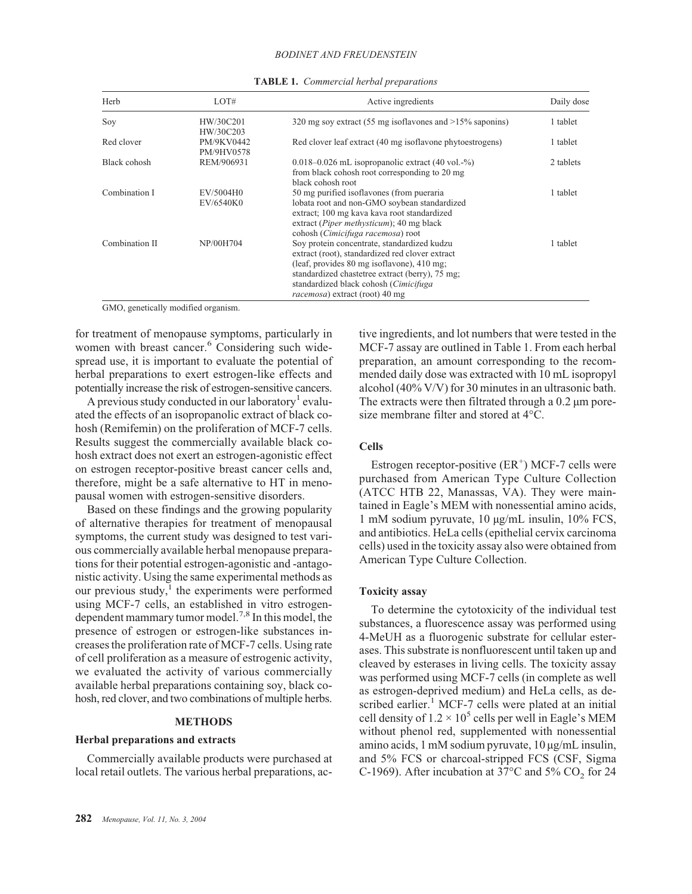#### *BODINET AND FREUDENSTEIN*

| Herb           | LOT#                                  | Active ingredients                                                                                                                                                                                                                                                                 | Daily dose |
|----------------|---------------------------------------|------------------------------------------------------------------------------------------------------------------------------------------------------------------------------------------------------------------------------------------------------------------------------------|------------|
| Soy            | HW/30C201                             | 320 mg soy extract (55 mg isoflavones and $>15\%$ saponins)                                                                                                                                                                                                                        | 1 tablet   |
| Red clover     | HW/30C203<br>PM/9KV0442<br>PM/9HV0578 | Red clover leaf extract (40 mg is of lavone phytoestrogens)                                                                                                                                                                                                                        | 1 tablet   |
| Black cohosh   | REM/906931                            | $0.018 - 0.026$ mL isopropanolic extract $(40 \text{ vol.} -\%)$<br>from black cohosh root corresponding to 20 mg<br>black cohosh root                                                                                                                                             | 2 tablets  |
| Combination I  | EV/5004H0<br>EV/6540K0                | 50 mg purified isoflavones (from pueraria<br>lobata root and non-GMO soybean standardized<br>extract; 100 mg kava kava root standardized<br>extract ( <i>Piper methysticum</i> ); 40 mg black<br>cohosh (Cimicifuga racemosa) root                                                 | 1 tablet   |
| Combination II | NP/00H704                             | Soy protein concentrate, standardized kudzu<br>extract (root), standardized red clover extract<br>(leaf, provides 80 mg isoflavone), 410 mg;<br>standardized chastetree extract (berry), 75 mg;<br>standardized black cohosh (Cimicifuga<br><i>racemosa</i> ) extract (root) 40 mg | 1 tablet   |

**TABLE 1.** *Commercial herbal preparations*

GMO, genetically modified organism.

for treatment of menopause symptoms, particularly in women with breast cancer.<sup>6</sup> Considering such widespread use, it is important to evaluate the potential of herbal preparations to exert estrogen-like effects and potentially increase the risk of estrogen-sensitive cancers.

A previous study conducted in our laboratory<sup>1</sup> evaluated the effects of an isopropanolic extract of black cohosh (Remifemin) on the proliferation of MCF-7 cells. Results suggest the commercially available black cohosh extract does not exert an estrogen-agonistic effect on estrogen receptor-positive breast cancer cells and, therefore, might be a safe alternative to HT in menopausal women with estrogen-sensitive disorders.

Based on these findings and the growing popularity of alternative therapies for treatment of menopausal symptoms, the current study was designed to test various commercially available herbal menopause preparations for their potential estrogen-agonistic and -antagonistic activity. Using the same experimental methods as our previous study, $\frac{1}{1}$  the experiments were performed using MCF-7 cells, an established in vitro estrogendependent mammary tumor model.7,8 In this model, the presence of estrogen or estrogen-like substances increases the proliferation rate of MCF-7 cells. Using rate of cell proliferation as a measure of estrogenic activity, we evaluated the activity of various commercially available herbal preparations containing soy, black cohosh, red clover, and two combinations of multiple herbs.

#### **METHODS**

# **Herbal preparations and extracts**

Commercially available products were purchased at local retail outlets. The various herbal preparations, active ingredients, and lot numbers that were tested in the MCF-7 assay are outlined in Table 1. From each herbal preparation, an amount corresponding to the recommended daily dose was extracted with 10 mL isopropyl alcohol (40% V/V) for 30 minutes in an ultrasonic bath. The extracts were then filtrated through a 0.2  $\mu$ m poresize membrane filter and stored at 4°C.

# **Cells**

Estrogen receptor-positive  $(ER^+)$  MCF-7 cells were purchased from American Type Culture Collection (ATCC HTB 22, Manassas, VA). They were maintained in Eagle's MEM with nonessential amino acids, 1 mM sodium pyruvate, 10 µg/mL insulin, 10% FCS, and antibiotics. HeLa cells (epithelial cervix carcinoma cells) used in the toxicity assay also were obtained from American Type Culture Collection.

## **Toxicity assay**

To determine the cytotoxicity of the individual test substances, a fluorescence assay was performed using 4-MeUH as a fluorogenic substrate for cellular esterases. This substrate is nonfluorescent until taken up and cleaved by esterases in living cells. The toxicity assay was performed using MCF-7 cells (in complete as well as estrogen-deprived medium) and HeLa cells, as described earlier.<sup>1</sup> MCF-7 cells were plated at an initial cell density of  $1.2 \times 10^5$  cells per well in Eagle's MEM without phenol red, supplemented with nonessential amino acids, 1 mM sodium pyruvate, 10 µg/mL insulin, and 5% FCS or charcoal-stripped FCS (CSF, Sigma C-1969). After incubation at 37 $\degree$ C and 5% CO<sub>2</sub> for 24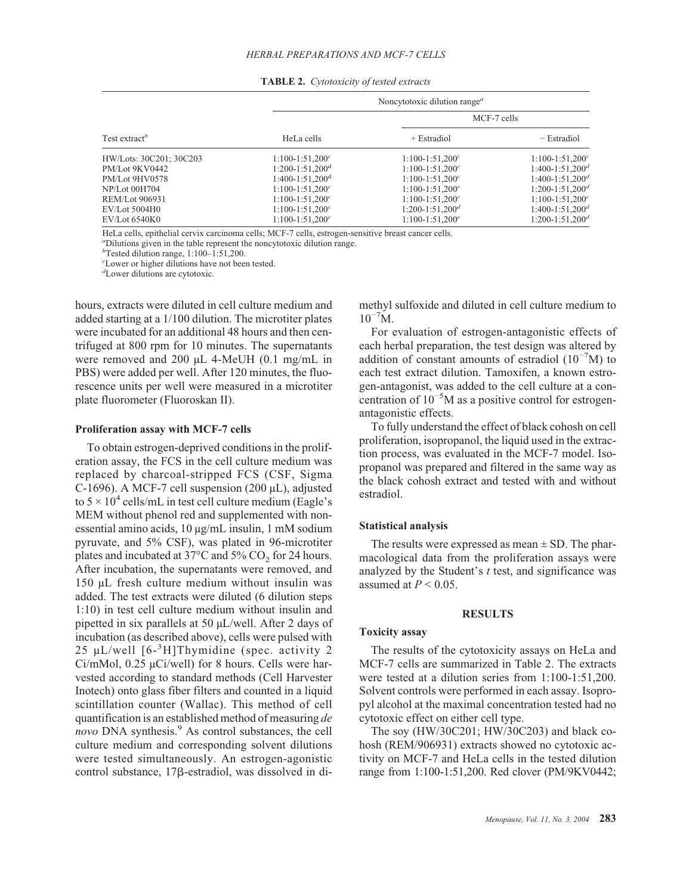|                           |                        | Noncytotoxic dilution range <sup><i>a</i></sup> |                      |
|---------------------------|------------------------|-------------------------------------------------|----------------------|
|                           |                        | MCF-7 cells                                     |                      |
| Test extract <sup>b</sup> | HeLa cells             | $+$ Estradiol                                   | $-$ Estradiol        |
| HW/Lots: 30C201; 30C203   | $1:100-1:51,200^{c}$   | $1:100-1:51,200^{c}$                            | $1:100-1:51,200^{c}$ |
| PM/Lot 9KV0442            | $1:200-1:51,200^d$     | $1:100-1:51,200^{c}$                            | $1:400-1:51,200^d$   |
| PM/Lot 9HV0578            | $1:400-1:51,200^d$     | $1:100-1:51,200^{c}$                            | $1:400-1:51,200^d$   |
| <b>NP/Lot 00H704</b>      | $1:100 - 1:51,200^{c}$ | $1:100-1:51,200^{c}$                            | $1:200-1:51,200^d$   |
| REM/Lot 906931            | $1:100 - 1:51,200^{c}$ | $1:100-1:51,200^{c}$                            | $1:100-1:51,200^{c}$ |
| EV/Lot 5004H0             | $1:100-1:51,200^{c}$   | $1:200-1:51,200^d$                              | $1:400-1:51,200^d$   |
| EV/Lot 6540K0             | $1:100 - 1:51,200^{c}$ | $1:100-1:51,200^{c}$                            | $1:200-1:51,200^d$   |

**TABLE 2.** *Cytotoxicity of tested extracts*

HeLa cells, epithelial cervix carcinoma cells; MCF-7 cells, estrogen-sensitive breast cancer cells. *<sup>a</sup>*

Dilutions given in the table represent the noncytotoxic dilution range.

*b* Tested dilution range, 1:100–1:51,200.

*c* Lower or higher dilutions have not been tested.

*d* Lower dilutions are cytotoxic.

hours, extracts were diluted in cell culture medium and added starting at a 1/100 dilution. The microtiter plates were incubated for an additional 48 hours and then centrifuged at 800 rpm for 10 minutes. The supernatants were removed and 200 µL 4-MeUH (0.1 mg/mL in PBS) were added per well. After 120 minutes, the fluorescence units per well were measured in a microtiter plate fluorometer (Fluoroskan II).

#### **Proliferation assay with MCF-7 cells**

To obtain estrogen-deprived conditions in the proliferation assay, the FCS in the cell culture medium was replaced by charcoal-stripped FCS (CSF, Sigma C-1696). A MCF-7 cell suspension  $(200 \mu L)$ , adjusted to  $5 \times 10^4$  cells/mL in test cell culture medium (Eagle's MEM without phenol red and supplemented with nonessential amino acids, 10 µg/mL insulin, 1 mM sodium pyruvate, and 5% CSF), was plated in 96-microtiter plates and incubated at  $37^{\circ}$ C and  $5\%$  CO<sub>2</sub> for 24 hours. After incubation, the supernatants were removed, and 150 µL fresh culture medium without insulin was added. The test extracts were diluted (6 dilution steps 1:10) in test cell culture medium without insulin and pipetted in six parallels at 50 µL/well. After 2 days of incubation (as described above), cells were pulsed with 25 µL/well [6-<sup>3</sup> H]Thymidine (spec. activity 2 Ci/mMol,  $0.25 \mu$ Ci/well) for 8 hours. Cells were harvested according to standard methods (Cell Harvester Inotech) onto glass fiber filters and counted in a liquid scintillation counter (Wallac). This method of cell quantification is an established method of measuring *de novo* DNA synthesis.<sup>9</sup> As control substances, the cell culture medium and corresponding solvent dilutions were tested simultaneously. An estrogen-agonistic control substance, 17 $\beta$ -estradiol, was dissolved in dimethyl sulfoxide and diluted in cell culture medium to  $10^{-7}$ M.

For evaluation of estrogen-antagonistic effects of each herbal preparation, the test design was altered by addition of constant amounts of estradiol  $(10^{-7}M)$  to each test extract dilution. Tamoxifen, a known estrogen-antagonist, was added to the cell culture at a concentration of 10−5M as a positive control for estrogenantagonistic effects.

To fully understand the effect of black cohosh on cell proliferation, isopropanol, the liquid used in the extraction process, was evaluated in the MCF-7 model. Isopropanol was prepared and filtered in the same way as the black cohosh extract and tested with and without estradiol.

#### **Statistical analysis**

The results were expressed as mean  $\pm$  SD. The pharmacological data from the proliferation assays were analyzed by the Student's *t* test, and significance was assumed at  $P \leq 0.05$ .

# **RESULTS**

# **Toxicity assay**

The results of the cytotoxicity assays on HeLa and MCF-7 cells are summarized in Table 2. The extracts were tested at a dilution series from 1:100-1:51,200. Solvent controls were performed in each assay. Isopropyl alcohol at the maximal concentration tested had no cytotoxic effect on either cell type.

The soy (HW/30C201; HW/30C203) and black cohosh (REM/906931) extracts showed no cytotoxic activity on MCF-7 and HeLa cells in the tested dilution range from 1:100-1:51,200. Red clover (PM/9KV0442;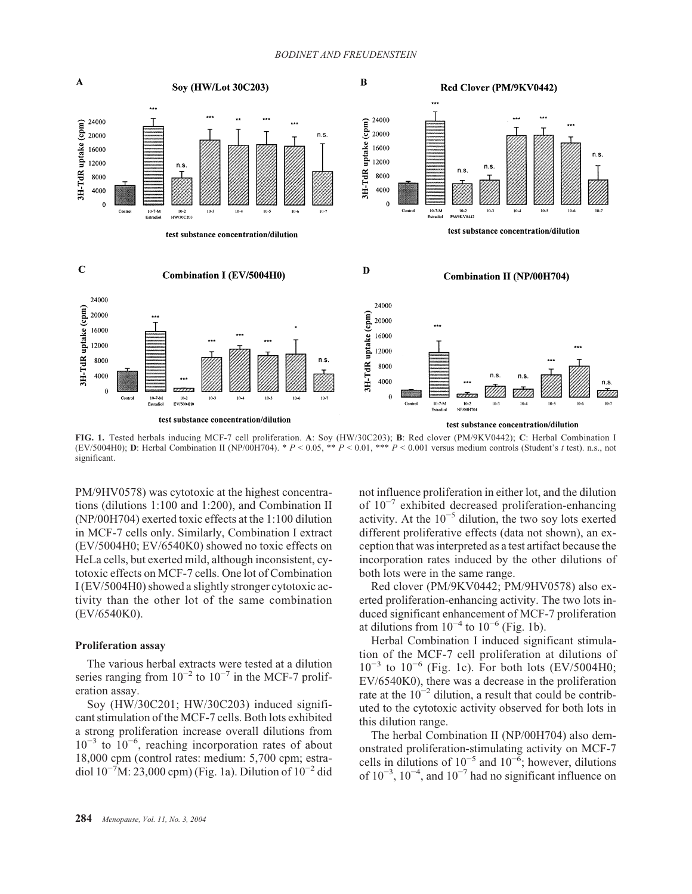#### *BODINET AND FREUDENSTEIN*



**FIG. 1.** Tested herbals inducing MCF-7 cell proliferation. **A**: Soy (HW/30C203); **B**: Red clover (PM/9KV0442); **C**: Herbal Combination I (EV/5004H0); **D**: Herbal Combination II (NP/00H704). \* *P* < 0.05, \*\* *P* < 0.01, \*\*\* *P* < 0.001 versus medium controls (Student's *t* test). n.s., not significant.

PM/9HV0578) was cytotoxic at the highest concentrations (dilutions 1:100 and 1:200), and Combination II (NP/00H704) exerted toxic effects at the 1:100 dilution in MCF-7 cells only. Similarly, Combination I extract (EV/5004H0; EV/6540K0) showed no toxic effects on HeLa cells, but exerted mild, although inconsistent, cytotoxic effects on MCF-7 cells. One lot of Combination I (EV/5004H0) showed a slightly stronger cytotoxic activity than the other lot of the same combination (EV/6540K0).

## **Proliferation assay**

The various herbal extracts were tested at a dilution series ranging from  $10^{-2}$  to  $10^{-7}$  in the MCF-7 proliferation assay.

Soy (HW/30C201; HW/30C203) induced significant stimulation of the MCF-7 cells. Both lots exhibited a strong proliferation increase overall dilutions from 10−3 to 10−6 , reaching incorporation rates of about 18,000 cpm (control rates: medium: 5,700 cpm; estradiol  $10^{-7}$ M: 23,000 cpm) (Fig. 1a). Dilution of  $10^{-2}$  did not influence proliferation in either lot, and the dilution of 10−7 exhibited decreased proliferation-enhancing activity. At the  $10^{-5}$  dilution, the two soy lots exerted different proliferative effects (data not shown), an exception that was interpreted as a test artifact because the incorporation rates induced by the other dilutions of both lots were in the same range.

Red clover (PM/9KV0442; PM/9HV0578) also exerted proliferation-enhancing activity. The two lots induced significant enhancement of MCF-7 proliferation at dilutions from  $10^{-4}$  to  $10^{-6}$  (Fig. 1b).

Herbal Combination I induced significant stimulation of the MCF-7 cell proliferation at dilutions of  $10^{-3}$  to  $10^{-6}$  (Fig. 1c). For both lots (EV/5004H0; EV/6540K0), there was a decrease in the proliferation rate at the  $10^{-2}$  dilution, a result that could be contributed to the cytotoxic activity observed for both lots in this dilution range.

The herbal Combination II (NP/00H704) also demonstrated proliferation-stimulating activity on MCF-7 cells in dilutions of  $10^{-5}$  and  $10^{-6}$ ; however, dilutions of  $10^{-3}$ ,  $10^{-4}$ , and  $10^{-7}$  had no significant influence on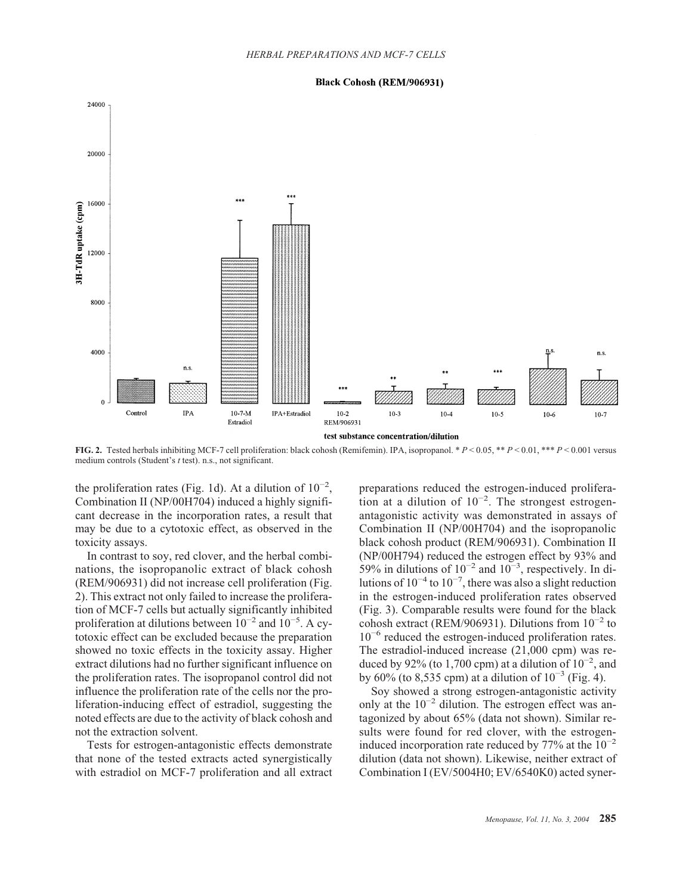#### **Black Cohosh (REM/906931)**



**FIG. 2.** Tested herbals inhibiting MCF-7 cell proliferation: black cohosh (Remifemin). IPA, isopropanol. \* *P* < 0.05, \*\* *P* < 0.01, \*\*\* *P* < 0.001 versus medium controls (Student's *t* test). n.s., not significant.

the proliferation rates (Fig. 1d). At a dilution of  $10^{-2}$ , Combination II (NP/00H704) induced a highly significant decrease in the incorporation rates, a result that may be due to a cytotoxic effect, as observed in the toxicity assays.

In contrast to soy, red clover, and the herbal combinations, the isopropanolic extract of black cohosh (REM/906931) did not increase cell proliferation (Fig. 2). This extract not only failed to increase the proliferation of MCF-7 cells but actually significantly inhibited proliferation at dilutions between  $10^{-2}$  and  $10^{-5}$ . A cytotoxic effect can be excluded because the preparation showed no toxic effects in the toxicity assay. Higher extract dilutions had no further significant influence on the proliferation rates. The isopropanol control did not influence the proliferation rate of the cells nor the proliferation-inducing effect of estradiol, suggesting the noted effects are due to the activity of black cohosh and not the extraction solvent.

Tests for estrogen-antagonistic effects demonstrate that none of the tested extracts acted synergistically with estradiol on MCF-7 proliferation and all extract preparations reduced the estrogen-induced proliferation at a dilution of  $10^{-2}$ . The strongest estrogenantagonistic activity was demonstrated in assays of Combination II (NP/00H704) and the isopropanolic black cohosh product (REM/906931). Combination II (NP/00H794) reduced the estrogen effect by 93% and 59% in dilutions of  $10^{-2}$  and  $10^{-3}$ , respectively. In dilutions of  $10^{-4}$  to  $10^{-7}$ , there was also a slight reduction in the estrogen-induced proliferation rates observed (Fig. 3). Comparable results were found for the black cohosh extract (REM/906931). Dilutions from  $10^{-2}$  to 10−6 reduced the estrogen-induced proliferation rates. The estradiol-induced increase (21,000 cpm) was reduced by 92% (to 1,700 cpm) at a dilution of  $10^{-2}$ , and by 60% (to 8,535 cpm) at a dilution of  $10^{-3}$  (Fig. 4).

Soy showed a strong estrogen-antagonistic activity only at the  $10^{-2}$  dilution. The estrogen effect was antagonized by about 65% (data not shown). Similar results were found for red clover, with the estrogeninduced incorporation rate reduced by  $77\%$  at the  $10^{-2}$ dilution (data not shown). Likewise, neither extract of Combination I (EV/5004H0; EV/6540K0) acted syner-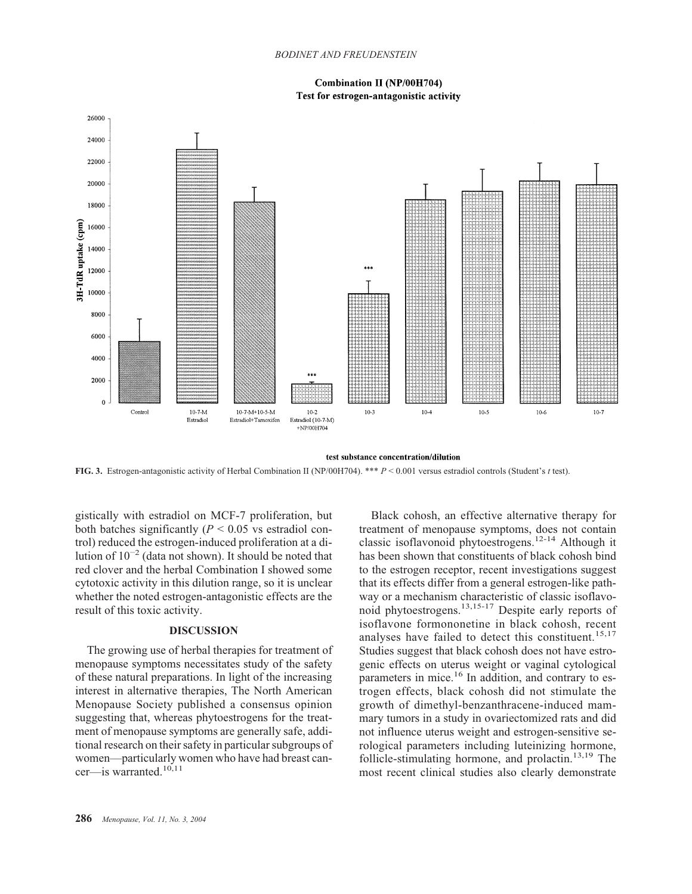#### *BODINET AND FREUDENSTEIN*

# **Combination II (NP/00H704)** Test for estrogen-antagonistic activity



#### test substance concentration/dilution

**FIG. 3.** Estrogen-antagonistic activity of Herbal Combination II (NP/00H704). \*\*\* *P* < 0.001 versus estradiol controls (Student's *t* test).

gistically with estradiol on MCF-7 proliferation, but both batches significantly  $(P < 0.05$  vs estradiol control) reduced the estrogen-induced proliferation at a dilution of  $10^{-2}$  (data not shown). It should be noted that red clover and the herbal Combination I showed some cytotoxic activity in this dilution range, so it is unclear whether the noted estrogen-antagonistic effects are the result of this toxic activity.

# **DISCUSSION**

The growing use of herbal therapies for treatment of menopause symptoms necessitates study of the safety of these natural preparations. In light of the increasing interest in alternative therapies, The North American Menopause Society published a consensus opinion suggesting that, whereas phytoestrogens for the treatment of menopause symptoms are generally safe, additional research on their safety in particular subgroups of women—particularly women who have had breast cancer—is warranted. $10,11$ 

Black cohosh, an effective alternative therapy for treatment of menopause symptoms, does not contain classic isoflavonoid phytoestrogens.12-14 Although it has been shown that constituents of black cohosh bind to the estrogen receptor, recent investigations suggest that its effects differ from a general estrogen-like pathway or a mechanism characteristic of classic isoflavonoid phytoestrogens.13,15-17 Despite early reports of isoflavone formononetine in black cohosh, recent analyses have failed to detect this constituent.<sup>15,17</sup> Studies suggest that black cohosh does not have estrogenic effects on uterus weight or vaginal cytological parameters in mice.<sup>16</sup> In addition, and contrary to estrogen effects, black cohosh did not stimulate the growth of dimethyl-benzanthracene-induced mammary tumors in a study in ovariectomized rats and did not influence uterus weight and estrogen-sensitive serological parameters including luteinizing hormone, follicle-stimulating hormone, and prolactin.<sup>13,19</sup> The most recent clinical studies also clearly demonstrate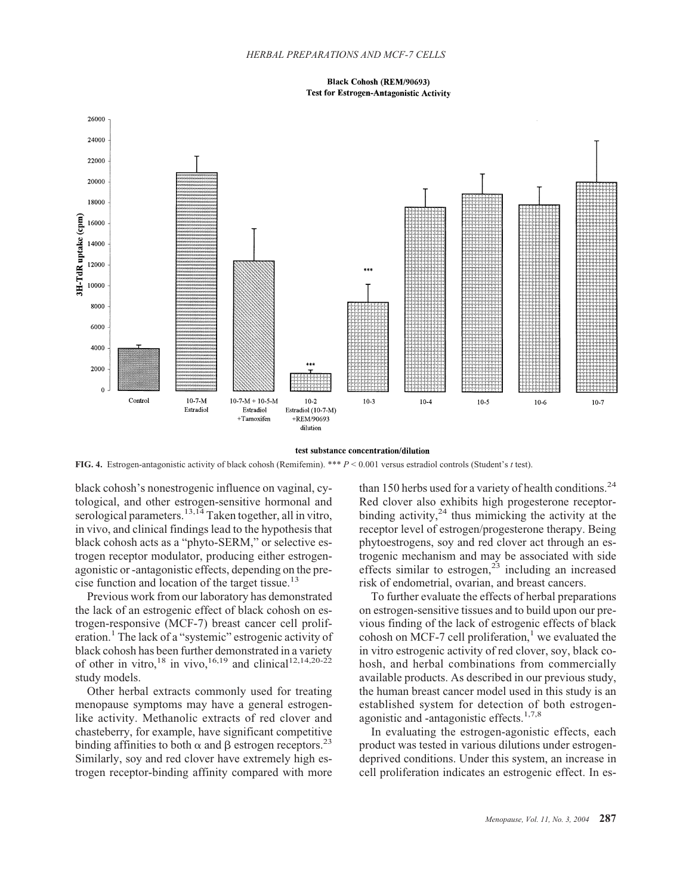**Black Cohosh (REM/90693) Test for Estrogen-Antagonistic Activity** 



#### test substance concentration/dilution

**FIG. 4.** Estrogen-antagonistic activity of black cohosh (Remifemin). \*\*\* *P* < 0.001 versus estradiol controls (Student's *t* test).

black cohosh's nonestrogenic influence on vaginal, cytological, and other estrogen-sensitive hormonal and serological parameters.<sup>13,14</sup> Taken together, all in vitro, in vivo, and clinical findings lead to the hypothesis that black cohosh acts as a "phyto-SERM," or selective estrogen receptor modulator, producing either estrogenagonistic or -antagonistic effects, depending on the precise function and location of the target tissue.<sup>13</sup>

Previous work from our laboratory has demonstrated the lack of an estrogenic effect of black cohosh on estrogen-responsive (MCF-7) breast cancer cell proliferation.<sup>1</sup> The lack of a "systemic" estrogenic activity of black cohosh has been further demonstrated in a variety of other in vitro,<sup>18</sup> in vivo,<sup>16,19</sup> and clinical<sup>12,14,20-22</sup> study models.

Other herbal extracts commonly used for treating menopause symptoms may have a general estrogenlike activity. Methanolic extracts of red clover and chasteberry, for example, have significant competitive binding affinities to both  $\alpha$  and  $\beta$  estrogen receptors.<sup>23</sup> Similarly, soy and red clover have extremely high estrogen receptor-binding affinity compared with more

than 150 herbs used for a variety of health conditions.<sup>24</sup> Red clover also exhibits high progesterone receptorbinding activity,  $24$  thus mimicking the activity at the receptor level of estrogen/progesterone therapy. Being phytoestrogens, soy and red clover act through an estrogenic mechanism and may be associated with side effects similar to estrogen, $2^{\frac{3}{2}}$  including an increased risk of endometrial, ovarian, and breast cancers.

To further evaluate the effects of herbal preparations on estrogen-sensitive tissues and to build upon our previous finding of the lack of estrogenic effects of black cohosh on MCF-7 cell proliferation, $\frac{1}{x}$  we evaluated the in vitro estrogenic activity of red clover, soy, black cohosh, and herbal combinations from commercially available products. As described in our previous study, the human breast cancer model used in this study is an established system for detection of both estrogenagonistic and -antagonistic effects.<sup>1,7,8</sup>

In evaluating the estrogen-agonistic effects, each product was tested in various dilutions under estrogendeprived conditions. Under this system, an increase in cell proliferation indicates an estrogenic effect. In es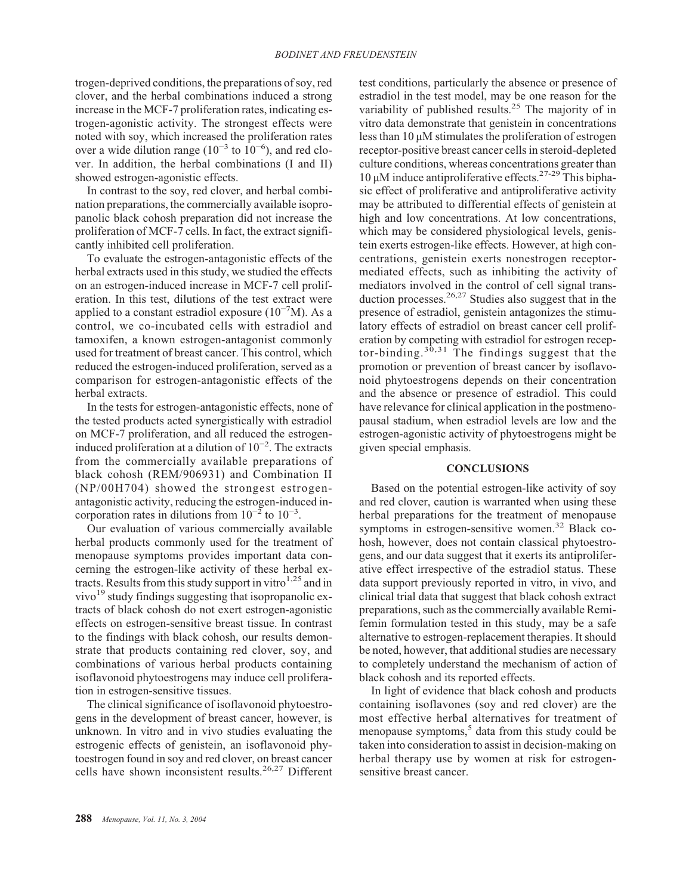trogen-deprived conditions, the preparations of soy, red clover, and the herbal combinations induced a strong increase in the MCF-7 proliferation rates, indicating estrogen-agonistic activity. The strongest effects were noted with soy, which increased the proliferation rates over a wide dilution range ( $10^{-3}$  to  $10^{-6}$ ), and red clover. In addition, the herbal combinations (I and II) showed estrogen-agonistic effects.

In contrast to the soy, red clover, and herbal combination preparations, the commercially available isopropanolic black cohosh preparation did not increase the proliferation of MCF-7 cells. In fact, the extract significantly inhibited cell proliferation.

To evaluate the estrogen-antagonistic effects of the herbal extracts used in this study, we studied the effects on an estrogen-induced increase in MCF-7 cell proliferation. In this test, dilutions of the test extract were applied to a constant estradiol exposure  $(10^{-7}M)$ . As a control, we co-incubated cells with estradiol and tamoxifen, a known estrogen-antagonist commonly used for treatment of breast cancer. This control, which reduced the estrogen-induced proliferation, served as a comparison for estrogen-antagonistic effects of the herbal extracts.

In the tests for estrogen-antagonistic effects, none of the tested products acted synergistically with estradiol on MCF-7 proliferation, and all reduced the estrogeninduced proliferation at a dilution of 10−2 . The extracts from the commercially available preparations of black cohosh (REM/906931) and Combination II (NP/00H704) showed the strongest estrogenantagonistic activity, reducing the estrogen-induced incorporation rates in dilutions from  $10^{-2}$  to  $10^{-3}$ .

Our evaluation of various commercially available herbal products commonly used for the treatment of menopause symptoms provides important data concerning the estrogen-like activity of these herbal extracts. Results from this study support in vitro $1.25$  and in vivo $19$  study findings suggesting that isopropanolic extracts of black cohosh do not exert estrogen-agonistic effects on estrogen-sensitive breast tissue. In contrast to the findings with black cohosh, our results demonstrate that products containing red clover, soy, and combinations of various herbal products containing isoflavonoid phytoestrogens may induce cell proliferation in estrogen-sensitive tissues.

The clinical significance of isoflavonoid phytoestrogens in the development of breast cancer, however, is unknown. In vitro and in vivo studies evaluating the estrogenic effects of genistein, an isoflavonoid phytoestrogen found in soy and red clover, on breast cancer cells have shown inconsistent results.26,27 Different test conditions, particularly the absence or presence of estradiol in the test model, may be one reason for the variability of published results.<sup>25</sup> The majority of in vitro data demonstrate that genistein in concentrations less than 10 µM stimulates the proliferation of estrogen receptor-positive breast cancer cells in steroid-depleted culture conditions, whereas concentrations greater than 10  $\mu$ M induce antiproliferative effects.<sup>27-29</sup> This biphasic effect of proliferative and antiproliferative activity may be attributed to differential effects of genistein at high and low concentrations. At low concentrations, which may be considered physiological levels, genistein exerts estrogen-like effects. However, at high concentrations, genistein exerts nonestrogen receptormediated effects, such as inhibiting the activity of mediators involved in the control of cell signal transduction processes.<sup>26,27</sup> Studies also suggest that in the presence of estradiol, genistein antagonizes the stimulatory effects of estradiol on breast cancer cell proliferation by competing with estradiol for estrogen receptor-binding. $30,31$  The findings suggest that the promotion or prevention of breast cancer by isoflavonoid phytoestrogens depends on their concentration and the absence or presence of estradiol. This could have relevance for clinical application in the postmenopausal stadium, when estradiol levels are low and the estrogen-agonistic activity of phytoestrogens might be given special emphasis.

#### **CONCLUSIONS**

Based on the potential estrogen-like activity of soy and red clover, caution is warranted when using these herbal preparations for the treatment of menopause symptoms in estrogen-sensitive women.<sup>32</sup> Black cohosh, however, does not contain classical phytoestrogens, and our data suggest that it exerts its antiproliferative effect irrespective of the estradiol status. These data support previously reported in vitro, in vivo, and clinical trial data that suggest that black cohosh extract preparations, such as the commercially available Remifemin formulation tested in this study, may be a safe alternative to estrogen-replacement therapies. It should be noted, however, that additional studies are necessary to completely understand the mechanism of action of black cohosh and its reported effects.

In light of evidence that black cohosh and products containing isoflavones (soy and red clover) are the most effective herbal alternatives for treatment of menopause symptoms, $5$  data from this study could be taken into consideration to assist in decision-making on herbal therapy use by women at risk for estrogensensitive breast cancer.